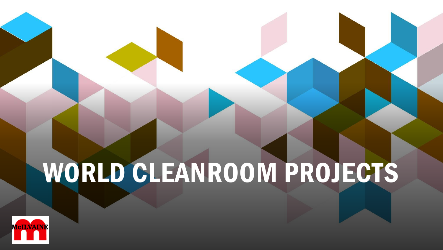# WORLD CLEANROOM PROJECTS

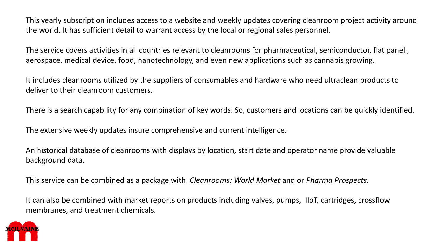This yearly subscription includes access to a website and weekly updates covering cleanroom project activity around the world. It has sufficient detail to warrant access by the local or regional sales personnel.

The service covers activities in all countries relevant to cleanrooms for pharmaceutical, semiconductor, flat panel , aerospace, medical device, food, nanotechnology, and even new applications such as cannabis growing.

It includes cleanrooms utilized by the suppliers of consumables and hardware who need ultraclean products to deliver to their cleanroom customers.

There is a search capability for any combination of key words. So, customers and locations can be quickly identified.

The extensive weekly updates insure comprehensive and current intelligence.

An historical database of cleanrooms with displays by location, start date and operator name provide valuable background data.

This service can be combined as a package with *Cleanrooms: World Market* and or *Pharma Prospects*.

It can also be combined with market reports on products including valves, pumps, IIoT, cartridges, crossflow membranes, and treatment chemicals.

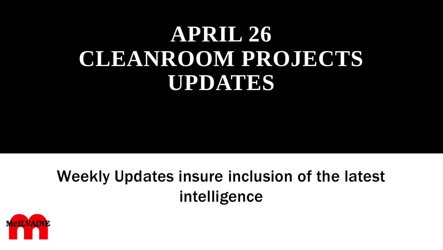# **APRIL 26 CLEANROOM PROJECTS UPDATES**

# Weekly Updates insure inclusion of the latest intelligence

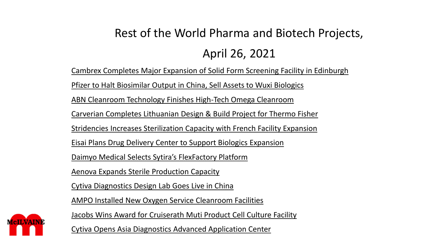# Rest of the World Pharma and Biotech Projects, April 26, 2021

Cambrex Completes Major Expansion of Solid Form Screening Facility in Edinburgh

Pfizer to Halt Biosimilar Output in China, Sell Assets to Wuxi Biologics

ABN Cleanroom Technology Finishes High-Tech Omega Cleanroom

Carverian Completes Lithuanian Design & Build Project for Thermo Fisher

Stridencies Increases Sterilization Capacity with French Facility Expansion

Eisai Plans Drug Delivery Center to Support Biologics Expansion

Daimyo Medical Selects Sytira's FlexFactory Platform

Aenova Expands Sterile Production Capacity

Cytiva Diagnostics Design Lab Goes Live in China

AMPO Installed New Oxygen Service Cleanroom Facilities

Jacobs Wins Award for Cruiserath Muti Product Cell Culture Facility

Cytiva Opens Asia Diagnostics Advanced Application Center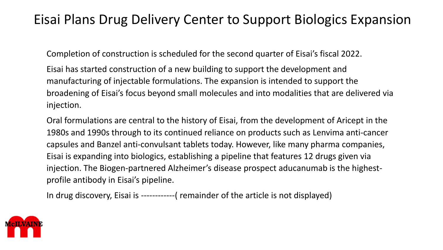# Eisai Plans Drug Delivery Center to Support Biologics Expansion

Completion of construction is scheduled for the second quarter of Eisai's fiscal 2022.

Eisai has started construction of a new building to support the development and manufacturing of injectable formulations. The expansion is intended to support the broadening of Eisai's focus beyond small molecules and into modalities that are delivered via injection.

Oral formulations are central to the history of Eisai, from the development of Aricept in the 1980s and 1990s through to its continued reliance on products such as Lenvima anti-cancer capsules and Banzel anti-convulsant tablets today. However, like many pharma companies, Eisai is expanding into biologics, establishing a pipeline that features 12 drugs given via injection. The Biogen-partnered Alzheimer's disease prospect aducanumab is the highestprofile antibody in Eisai's pipeline.

In drug discovery, Eisai is ------------( remainder of the article is not displayed)

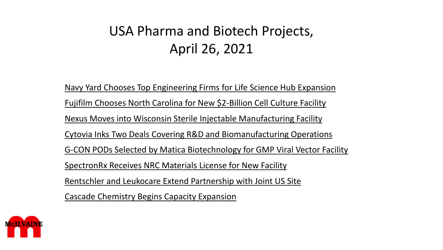# USA Pharma and Biotech Projects, April 26, 2021

Navy Yard Chooses Top Engineering Firms for Life Science Hub Expansion Fujifilm Chooses North Carolina for New \$2-Billion Cell Culture Facility Nexus Moves into Wisconsin Sterile Injectable Manufacturing Facility Cytovia Inks Two Deals Covering R&D and Biomanufacturing Operations G-CON PODs Selected by Matica Biotechnology for GMP Viral Vector Facility SpectronRx Receives NRC Materials License for New Facility Rentschler and Leukocare Extend Partnership with Joint US Site Cascade Chemistry Begins Capacity Expansion

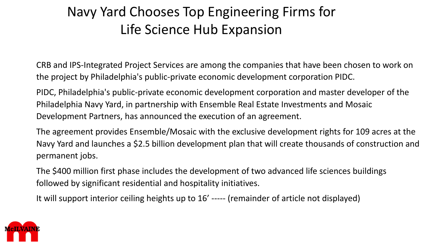# Navy Yard Chooses Top Engineering Firms for Life Science Hub Expansion

CRB and IPS-Integrated Project Services are among the companies that have been chosen to work on the project by Philadelphia's public-private economic development corporation PIDC.

PIDC, Philadelphia's public-private economic development corporation and master developer of the Philadelphia Navy Yard, in partnership with Ensemble Real Estate Investments and Mosaic Development Partners, has announced the execution of an agreement.

The agreement provides Ensemble/Mosaic with the exclusive development rights for 109 acres at the Navy Yard and launches a \$2.5 billion development plan that will create thousands of construction and permanent jobs.

The \$400 million first phase includes the development of two advanced life sciences buildings followed by significant residential and hospitality initiatives.

It will support interior ceiling heights up to 16' ----- (remainder of article not displayed)

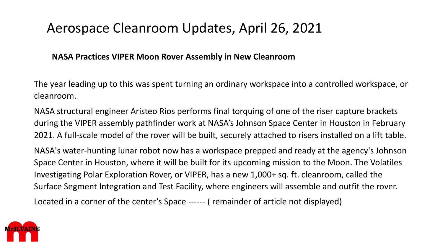### Aerospace Cleanroom Updates, April 26, 2021

#### **NASA Practices VIPER Moon Rover Assembly in New Cleanroom**

The year leading up to this was spent turning an ordinary workspace into a controlled workspace, or cleanroom.

NASA structural engineer Aristeo Rios performs final torquing of one of the riser capture brackets during the VIPER assembly pathfinder work at NASA's Johnson Space Center in Houston in February 2021. A full-scale model of the rover will be built, securely attached to risers installed on a lift table.

NASA's water-hunting lunar robot now has a workspace prepped and ready at the agency's Johnson Space Center in Houston, where it will be built for its upcoming mission to the Moon. The Volatiles Investigating Polar Exploration Rover, or VIPER, has a new 1,000+ sq. ft. cleanroom, called the Surface Segment Integration and Test Facility, where engineers will assemble and outfit the rover.

Located in a corner of the center's Space ------ ( remainder of article not displayed)

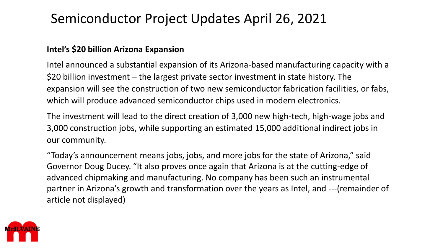# Semiconductor Project Updates April 26, 2021

#### **Intel's \$20 billion Arizona Expansion**

Intel announced a substantial expansion of its Arizona-based manufacturing capacity with a \$20 billion investment – the largest private sector investment in state history. The expansion will see the construction of two new semiconductor fabrication facilities, or fabs, which will produce advanced semiconductor chips used in modern electronics.

The investment will lead to the direct creation of 3,000 new high-tech, high-wage jobs and 3,000 construction jobs, while supporting an estimated 15,000 additional indirect jobs in our community.

"Today's announcement means jobs, jobs, and more jobs for the state of Arizona," said Governor Doug Ducey. "It also proves once again that Arizona is at the cutting-edge of advanced chipmaking and manufacturing. No company has been such an instrumental partner in Arizona's growth and transformation over the years as Intel, and ---(remainder of article not displayed)

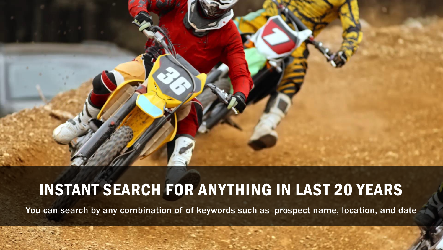

# INSTANT SEARCH FOR ANYTHING IN LAST 20 YEARS

You can search by any combination of of keywords such as prospect name, location, and date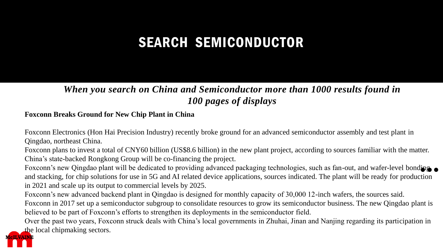# SEARCH SEMICONDUCTOR

#### *When you search on China and Semiconductor more than 1000 results found in 100 pages of displays*

#### **Foxconn Breaks Ground for New Chip Plant in China**

Foxconn Electronics (Hon Hai Precision Industry) recently broke ground for an advanced semiconductor assembly and test plant in Qingdao, northeast China.

Foxconn plans to invest a total of CNY60 billion (US\$8.6 billion) in the new plant project, according to sources familiar with the matter. China's state-backed Rongkong Group will be co-financing the project.

**...** Foxconn's new Qingdao plant will be dedicated to providing advanced packaging technologies, such as fan-out, and wafer-level bonding and stacking, for chip solutions for use in 5G and AI related device applications, sources indicated. The plant will be ready for production in 2021 and scale up its output to commercial levels by 2025.

Foxconn's new advanced backend plant in Qingdao is designed for monthly capacity of 30,000 12-inch wafers, the sources said.

Foxconn in 2017 set up a semiconductor subgroup to consolidate resources to grow its semiconductor business. The new Qingdao plant is believed to be part of Foxconn's efforts to strengthen its deployments in the semiconductor field.

Over the past two years, Foxconn struck deals with China's local governments in Zhuhai, Jinan and Nanjing regarding its participation in the local chipmaking sectors.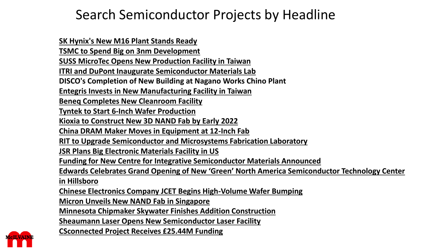# Search Semiconductor Projects by Headline

**[SK Hynix's New M16 Plant Stands Ready](http://www.mcilvainecompany.com/industryforecast/semiconductor/updates/2021%20updates/march2021update.htm#SK) [TSMC to Spend Big on 3nm Development](http://www.mcilvainecompany.com/industryforecast/semiconductor/updates/2021%20updates/march2021update.htm#TSMC_) SUSS MicroTec [Opens New Production Facility in Taiwan](http://www.mcilvainecompany.com/industryforecast/semiconductor/updates/2021%20updates/march2021update.htm#SUSS)**

**[ITRI and DuPont Inaugurate Semiconductor Materials Lab](http://www.mcilvainecompany.com/industryforecast/semiconductor/updates/2021%20updates/march2021update.htm#ITRI)**

**DISCO's Completion of New Building at Nagano Works Chino Plant**

**Entegris [Invests in New Manufacturing Facility in Taiwan](http://www.mcilvainecompany.com/industryforecast/semiconductor/updates/2021%20updates/february2021update.htm#Entegris_Invests)**

**Beneq [Completes New Cleanroom Facility](http://www.mcilvainecompany.com/industryforecast/semiconductor/updates/2021%20updates/february2021update.htm#Beneq_Completes)**

**Tyntek [to Start 6-Inch Wafer Production](http://www.mcilvainecompany.com/industryforecast/semiconductor/updates/2021%20updates/february2021update.htm#Tyntek_to_Start)**

**Kioxia [to Construct New 3D NAND Fab by Early 2022](http://www.mcilvainecompany.com/industryforecast/semiconductor/updates/2021%20updates/february2021update.htm#Kioxia_to_Construct)**

**[China DRAM Maker Moves in Equipment at 12-Inch Fab](http://www.mcilvainecompany.com/industryforecast/semiconductor/updates/2019%20updates/august_september2019update.htm#China_DRAM)**

**[RIT to Upgrade Semiconductor and Microsystems Fabrication Laboratory](http://www.mcilvainecompany.com/industryforecast/semiconductor/updates/2019%20updates/august_september2019update.htm#RIT_to_Upgrade)**

**[JSR Plans Big Electronic Materials Facility in US](http://www.mcilvainecompany.com/industryforecast/semiconductor/updates/2019%20updates/august_september2019update.htm#JSR_Plans_Big)**

**[Funding for New Centre for Integrative Semiconductor Materials Announced](http://www.mcilvainecompany.com/industryforecast/semiconductor/updates/2019%20updates/august_september2019update.htm#Funding_for_New_Centre)**

**[Edwards Celebrates Grand Opening of New 'Green' North America Semiconductor Technology Center](http://www.mcilvainecompany.com/industryforecast/semiconductor/updates/2019%20updates/august_september2019update.htm#Edwards_Celebrates)** 

**in Hillsboro**

**[Chinese Electronics Company JCET Begins High-Volume Wafer Bumping](http://www.mcilvainecompany.com/industryforecast/semiconductor/updates/2019%20updates/august_september2019update.htm#Chinese_Electronics)**

**[Micron Unveils New NAND Fab in Singapore](http://www.mcilvainecompany.com/industryforecast/semiconductor/updates/2019%20updates/august_september2019update.htm#Micron_Unveils)**

**[Minnesota Chipmaker Skywater](http://www.mcilvainecompany.com/industryforecast/semiconductor/updates/2020%20updates/december2020update.htm#Minnesota_) Finishes Addition Construction**

**Sheaumann [Laser Opens New Semiconductor Laser Facility](http://www.mcilvainecompany.com/industryforecast/semiconductor/updates/2020%20updates/december2020update.htm#Sheaumann_Laser)**

**CSconnected [Project Receives £25.44M Funding](http://www.mcilvainecompany.com/industryforecast/semiconductor/updates/2020%20updates/december2020update.htm#CSconnected)**

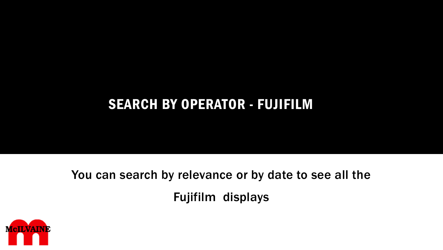# SEARCH BY OPERATOR - FUJIFILM

You can search by relevance or by date to see all the Fujifilm displays

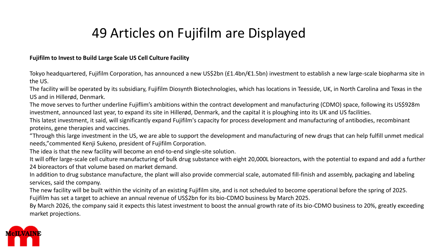# 49 Articles on Fujifilm are Displayed

#### **Fujifilm to Invest to Build Large Scale US Cell Culture Facility**

Tokyo headquartered, Fujifilm Corporation, has announced a new US\$2bn (£1.4bn/€1.5bn) investment to establish a new large-scale biopharma site in the US.

The facility will be operated by its subsidiary, Fujifilm Diosynth Biotechnologies, which has locations in Teesside, UK, in North Carolina and Texas in the US and in Hillerød, Denmark.

The move serves to further underline Fujiflim's ambitions within the contract development and manufacturing (CDMO) space, following its US\$928m investment, announced last year, to expand its site in Hillerød, Denmark, and the capital it is ploughing into its UK and US facilities.

This latest investment, it said, will significantly expand Fujifilm's capacity for process development and manufacturing of antibodies, recombinant proteins, gene therapies and vaccines.

"Through this large investment in the US, we are able to support the development and manufacturing of new drugs that can help fulfill unmet medical needs,"commented Kenji Sukeno, president of Fujifilm Corporation.

The idea is that the new facility will become an end-to-end single-site solution.

It will offer large-scale cell culture manufacturing of bulk drug substance with eight 20,000L bioreactors, with the potential to expand and add a further 24 bioreactors of that volume based on market demand.

In addition to drug substance manufacture, the plant will also provide commercial scale, automated fill-finish and assembly, packaging and labeling services, said the company.

The new facility will be built within the vicinity of an existing Fujifilm site, and is not scheduled to become operational before the spring of 2025.

Fujifilm has set a target to achieve an annual revenue of US\$2bn for its bio-CDMO business by March 2025.

By March 2026, the company said it expects this latest investment to boost the annual growth rate of its bio-CDMO business to 20%, greatly exceeding market projections.

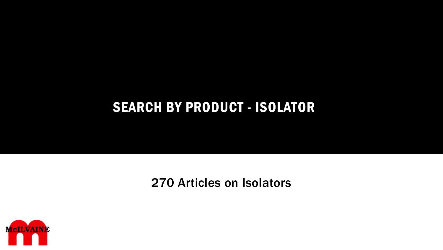# SEARCH BY PRODUCT - ISOLATOR

270 Articles on Isolators

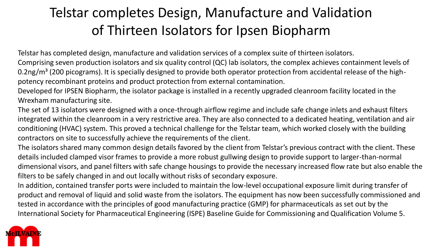# Telstar completes Design, Manufacture and Validation of Thirteen Isolators for Ipsen Biopharm

Telstar has completed design, manufacture and validation services of a complex suite of thirteen isolators.

Comprising seven production isolators and six quality control (QC) lab isolators, the complex achieves containment levels of 0.2ng/m<sup>3</sup> (200 picograms). It is specially designed to provide both operator protection from accidental release of the highpotency recombinant proteins and product protection from external contamination.

Developed for IPSEN Biopharm, the isolator package is installed in a recently upgraded cleanroom facility located in the Wrexham manufacturing site.

The set of 13 isolators were designed with a once-through airflow regime and include safe change inlets and exhaust filters integrated within the cleanroom in a very restrictive area. They are also connected to a dedicated heating, ventilation and air conditioning (HVAC) system. This proved a technical challenge for the Telstar team, which worked closely with the building contractors on site to successfully achieve the requirements of the client.

The isolators shared many common design details favored by the client from Telstar's previous contract with the client. These details included clamped visor frames to provide a more robust gullwing design to provide support to larger-than-normal dimensional visors, and panel filters with safe change housings to provide the necessary increased flow rate but also enable the filters to be safely changed in and out locally without risks of secondary exposure.

In addition, contained transfer ports were included to maintain the low-level occupational exposure limit during transfer of product and removal of liquid and solid waste from the isolators. The equipment has now been successfully commissioned and tested in accordance with the principles of good manufacturing practice (GMP) for pharmaceuticals as set out by the International Society for Pharmaceutical Engineering (ISPE) Baseline Guide for Commissioning and Qualification Volume 5.

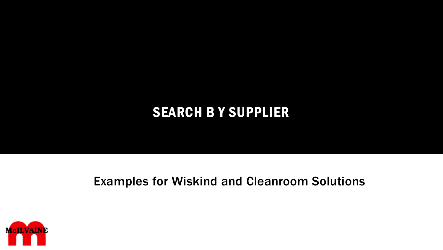# SEARCH B Y SUPPLIER

### Examples for Wiskind and Cleanroom Solutions

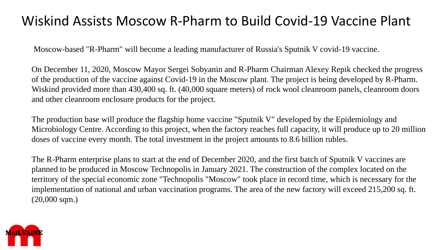# Wiskind Assists Moscow R-Pharm to Build Covid-19 Vaccine Plant

Moscow-based "R-Pharm" will become a leading manufacturer of Russia's Sputnik V covid-19 vaccine.

On December 11, 2020, Moscow Mayor Sergei Sobyanin and R-Pharm Chairman Alexey Repik checked the progress of the production of the vaccine against Covid-19 in the Moscow plant. The project is being developed by R-Pharm. Wiskind provided more than 430,400 sq. ft. (40,000 square meters) of rock wool cleanroom panels, cleanroom doors and other cleanroom enclosure products for the project.

The production base will produce the flagship home vaccine "Sputnik V" developed by the Epidemiology and Microbiology Centre. According to this project, when the factory reaches full capacity, it will produce up to 20 million doses of vaccine every month. The total investment in the project amounts to 8.6 billion rubles.

The R-Pharm enterprise plans to start at the end of December 2020, and the first batch of Sputnik V vaccines are planned to be produced in Moscow Technopolis in January 2021. The construction of the complex located on the territory of the special economic zone "Technopolis "Moscow" took place in record time, which is necessary for the implementation of national and urban vaccination programs. The area of the new factory will exceed 215,200 sq. ft. (20,000 sqm.)

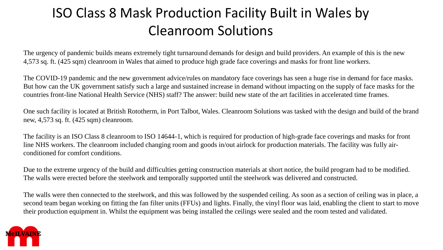# ISO Class 8 Mask Production Facility Built in Wales by Cleanroom Solutions

The urgency of pandemic builds means extremely tight turnaround demands for design and build providers. An example of this is the new 4,573 sq. ft. (425 sqm) cleanroom in Wales that aimed to produce high grade face coverings and masks for front line workers.

The COVID-19 pandemic and the new government advice/rules on mandatory face coverings has seen a huge rise in demand for face masks. But how can the UK government satisfy such a large and sustained increase in demand without impacting on the supply of face masks for the countries front-line National Health Service (NHS) staff? The answer: build new state of the art facilities in accelerated time frames.

One such facility is located at British Rototherm, in Port Talbot, Wales. Cleanroom Solutions was tasked with the design and build of the brand new, 4,573 sq. ft. (425 sqm) cleanroom.

The facility is an ISO Class 8 cleanroom to ISO 14644-1, which is required for production of high-grade face coverings and masks for front line NHS workers. The cleanroom included changing room and goods in/out airlock for production materials. The facility was fully airconditioned for comfort conditions.

Due to the extreme urgency of the build and difficulties getting construction materials at short notice, the build program had to be modified. The walls were erected before the steelwork and temporally supported until the steelwork was delivered and constructed.

The walls were then connected to the steelwork, and this was followed by the suspended ceiling. As soon as a section of ceiling was in place, a second team began working on fitting the fan filter units (FFUs) and lights. Finally, the vinyl floor was laid, enabling the client to start to move their production equipment in. Whilst the equipment was being installed the ceilings were sealed and the room tested and validated.

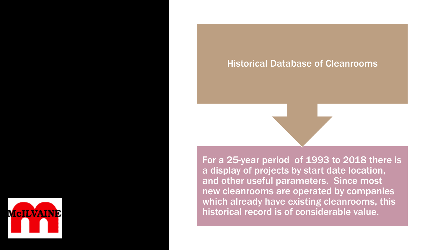

For a 25-year period of 1993 to 2018 there is a display of projects by start date location, and other useful parameters. Since most new cleanrooms are operated by companies which already have existing cleanrooms, this historical record is of considerable value.

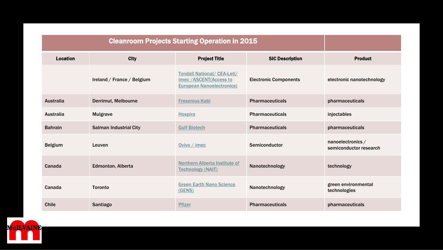| Location         | <b>City</b>                   | <b>Project Title</b>                                                                             | <b>SIC Description</b>       | <b>Product</b>                              |
|------------------|-------------------------------|--------------------------------------------------------------------------------------------------|------------------------------|---------------------------------------------|
|                  | Ireland / France / Belgium    | <b>Tyndall National/ CEA-Leti/</b><br>imec /ASCENT(Access to<br><b>European Nanoelectronics)</b> | <b>Electronic Components</b> | electronic nanotechnology                   |
| Australia        | <b>Derrimut, Melbourne</b>    | <b>Fresenius Kabi</b>                                                                            | <b>Pharmaceuticals</b>       | pharmaceuticals                             |
| <b>Australia</b> | <b>Mulgrave</b>               | <b>Hospira</b>                                                                                   | <b>Pharmaceuticals</b>       | injectables                                 |
| <b>Bahrain</b>   | <b>Salman Industrial City</b> | <b>Gulf Biotech</b>                                                                              | <b>Pharmaceuticals</b>       | pharmaceuticals                             |
| <b>Belgium</b>   | Leuven                        | Ovivo / imec                                                                                     | Semiconductor                | nanoelectronics /<br>semiconductor research |
| Canada           | <b>Edmonton, Alberta</b>      | <b>Northern Alberta Institute of</b><br><b>Technology (NAIT)</b>                                 | Nanotechnology               | technology                                  |
| Canada           | <b>Toronto</b>                | <b>Green Earth Nano Science</b><br>(GENS)                                                        | Nanotechnology               | green environmental<br>technologies         |
| <b>Chile</b>     | Santiago                      | <b>Pfizer</b>                                                                                    | <b>Pharmaceuticals</b>       | pharmaceuticals                             |